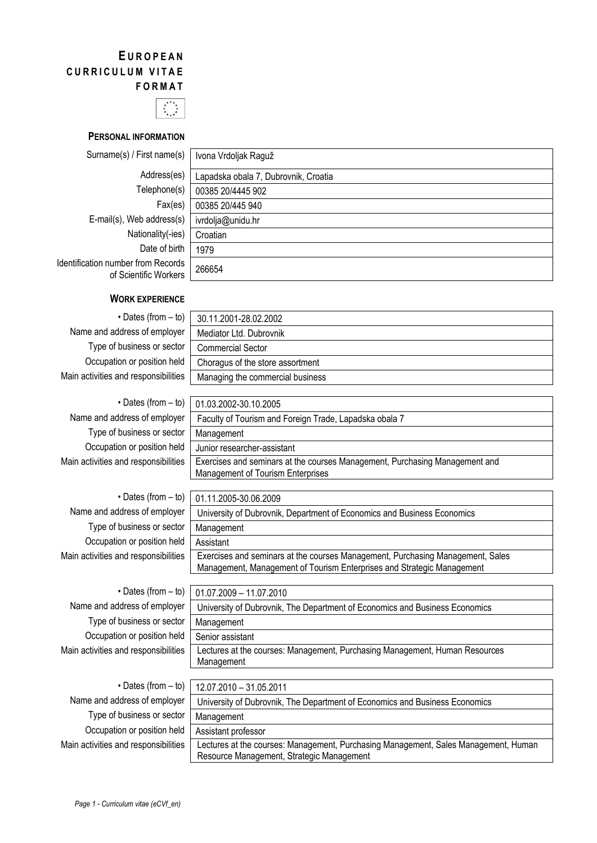# **E UROPEAN CURRICULUM VITAE FORMAT**



**PERSONAL INFORMATION**

| Surname(s) / First name(s)                                  | Ivona Vrdoljak Raguž                 |
|-------------------------------------------------------------|--------------------------------------|
| Address(es)                                                 | Lapadska obala 7, Dubrovnik, Croatia |
| Telephone(s)                                                | 00385 20/4445 902                    |
| Fax(es)                                                     | 00385 20/445 940                     |
| E-mail(s), Web address(s)                                   | ivrdolja@unidu.hr                    |
| Nationality(-ies)                                           | Croatian                             |
| Date of birth                                               | 1979                                 |
| Identification number from Records<br>of Scientific Workers | 266654                               |

### **WORK EXPERIENCE**

 $\cdot$  Dates (from  $-$  to) Name and address of employer Type of business or sector Occupation or position held Main activities and responsibilities

• Dates (from Name and address of emp Type of business or set Occupation or position Main activities and responsibi

| 30.11.2001-28.02.2002            |  |
|----------------------------------|--|
| Mediator Ltd. Dubrovnik          |  |
| <b>Commercial Sector</b>         |  |
| Choragus of the store assortment |  |
| Managing the commercial business |  |

| $-$ to) | 01.03.2002-30.10.2005                                                       |
|---------|-----------------------------------------------------------------------------|
| loyer   | Faculty of Tourism and Foreign Trade, Lapadska obala 7                      |
| ector   | Management                                                                  |
| held    | Junior researcher-assistant                                                 |
| ilities | Exercises and seminars at the courses Management, Purchasing Management and |
|         | Management of Tourism Enterprises                                           |

| $\cdot$ Dates (from – to)            | 01.11.2005-30.06.2009                                                                                                                                    |  |
|--------------------------------------|----------------------------------------------------------------------------------------------------------------------------------------------------------|--|
| Name and address of employer         | University of Dubrovnik, Department of Economics and Business Economics                                                                                  |  |
| Type of business or sector           | Management                                                                                                                                               |  |
| Occupation or position held          | Assistant                                                                                                                                                |  |
| Main activities and responsibilities | Exercises and seminars at the courses Management, Purchasing Management, Sales<br>Management, Management of Tourism Enterprises and Strategic Management |  |
|                                      |                                                                                                                                                          |  |
| $\cdot$ Dates (from $-$ to)          | $01.07.2009 - 11.07.2010$                                                                                                                                |  |
| Name and address of employer         | University of Dubrovnik, The Department of Economics and Business Economics                                                                              |  |

Type of b Occupation Main activities an

| <b>Native and address of cripic ver</b> | UTIVERSITY OF DUDIOVITIN, THE DEPARTMENT OF ECONOMICS AND DUSTRESS ECONOMICS                                                     |  |
|-----------------------------------------|----------------------------------------------------------------------------------------------------------------------------------|--|
| Type of business or sector              | Management                                                                                                                       |  |
| Occupation or position held             | Senior assistant                                                                                                                 |  |
| Main activities and responsibilities    | Lectures at the courses: Management, Purchasing Management, Human Resources<br>Management                                        |  |
|                                         |                                                                                                                                  |  |
| $\cdot$ Dates (from $-$ to)             | 12.07.2010 - 31.05.2011                                                                                                          |  |
| Name and address of employer            | University of Dubrovnik, The Department of Economics and Business Economics                                                      |  |
| Type of business or sector              | Management                                                                                                                       |  |
| Occupation or position held             | Assistant professor                                                                                                              |  |
| Main activities and responsibilities    | Lectures at the courses: Management, Purchasing Management, Sales Management, Human<br>Resource Management, Strategic Management |  |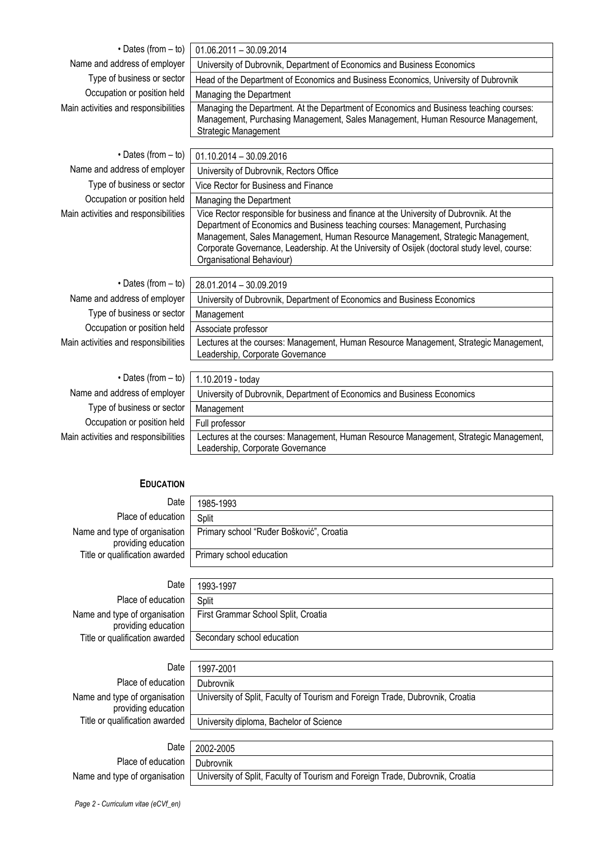| $\cdot$ Dates (from $-$ to)          | $01.06.2011 - 30.09.2014$                                                                                                                                                                                                                                                                                                                                                               |  |
|--------------------------------------|-----------------------------------------------------------------------------------------------------------------------------------------------------------------------------------------------------------------------------------------------------------------------------------------------------------------------------------------------------------------------------------------|--|
| Name and address of employer         | University of Dubrovnik, Department of Economics and Business Economics                                                                                                                                                                                                                                                                                                                 |  |
| Type of business or sector           | Head of the Department of Economics and Business Economics, University of Dubrovnik                                                                                                                                                                                                                                                                                                     |  |
| Occupation or position held          |                                                                                                                                                                                                                                                                                                                                                                                         |  |
|                                      | Managing the Department                                                                                                                                                                                                                                                                                                                                                                 |  |
| Main activities and responsibilities | Managing the Department. At the Department of Economics and Business teaching courses:<br>Management, Purchasing Management, Sales Management, Human Resource Management,<br>Strategic Management                                                                                                                                                                                       |  |
| • Dates (from - to)                  | $01.10.2014 - 30.09.2016$                                                                                                                                                                                                                                                                                                                                                               |  |
| Name and address of employer         | University of Dubrovnik, Rectors Office                                                                                                                                                                                                                                                                                                                                                 |  |
| Type of business or sector           | Vice Rector for Business and Finance                                                                                                                                                                                                                                                                                                                                                    |  |
| Occupation or position held          | Managing the Department                                                                                                                                                                                                                                                                                                                                                                 |  |
| Main activities and responsibilities | Vice Rector responsible for business and finance at the University of Dubrovnik. At the<br>Department of Economics and Business teaching courses: Management, Purchasing<br>Management, Sales Management, Human Resource Management, Strategic Management,<br>Corporate Governance, Leadership. At the University of Osijek (doctoral study level, course:<br>Organisational Behaviour) |  |
| $\cdot$ Dates (from $-$ to)          | 28.01.2014 - 30.09.2019                                                                                                                                                                                                                                                                                                                                                                 |  |
| Name and address of employer         | University of Dubrovnik, Department of Economics and Business Economics                                                                                                                                                                                                                                                                                                                 |  |
| Type of business or sector           | Management                                                                                                                                                                                                                                                                                                                                                                              |  |
| Occupation or position held          | Associate professor                                                                                                                                                                                                                                                                                                                                                                     |  |
| Main activities and responsibilities | Lectures at the courses: Management, Human Resource Management, Strategic Management,<br>Leadership, Corporate Governance                                                                                                                                                                                                                                                               |  |
|                                      |                                                                                                                                                                                                                                                                                                                                                                                         |  |
| $\cdot$ Dates (from $-$ to)          | 1.10.2019 - today                                                                                                                                                                                                                                                                                                                                                                       |  |
| Name and address of employer         | University of Dubrovnik, Department of Economics and Business Economics                                                                                                                                                                                                                                                                                                                 |  |
| Type of business or sector           | Management                                                                                                                                                                                                                                                                                                                                                                              |  |
| Occupation or position held          | Full professor                                                                                                                                                                                                                                                                                                                                                                          |  |
| Main activities and responsibilities | Lectures at the courses: Management, Human Resource Management, Strategic Management,<br>Leadership, Corporate Governance                                                                                                                                                                                                                                                               |  |

## **EDUCATION**

| Date                                                      | 1985-1993                                |
|-----------------------------------------------------------|------------------------------------------|
| Place of education                                        | Split                                    |
| Name and type of organisation<br>providing education      | Primary school "Ruđer Bošković", Croatia |
| Title or qualification awarded   Primary school education |                                          |

| Date                                                        | 1993-1997                           |
|-------------------------------------------------------------|-------------------------------------|
| Place of education                                          | Split                               |
| Name and type of organisation  <br>providing education      | First Grammar School Split, Croatia |
| Title or qualification awarded   Secondary school education |                                     |
|                                                             |                                     |
| Date                                                        | 1997-2001                           |

| Date                                                 | 1997-2001                                                                     |
|------------------------------------------------------|-------------------------------------------------------------------------------|
| Place of education                                   | Dubrovnik                                                                     |
| Name and type of organisation<br>providing education | University of Split, Faculty of Tourism and Foreign Trade, Dubrovnik, Croatia |
| Title or qualification awarded                       | University diploma, Bachelor of Science                                       |
|                                                      |                                                                               |
| Date                                                 | 2002-2005                                                                     |
| Place of education                                   | Dubrovnik                                                                     |
| Name and type of organisation                        | University of Split, Faculty of Tourism and Foreign Trade, Dubrovnik, Croatia |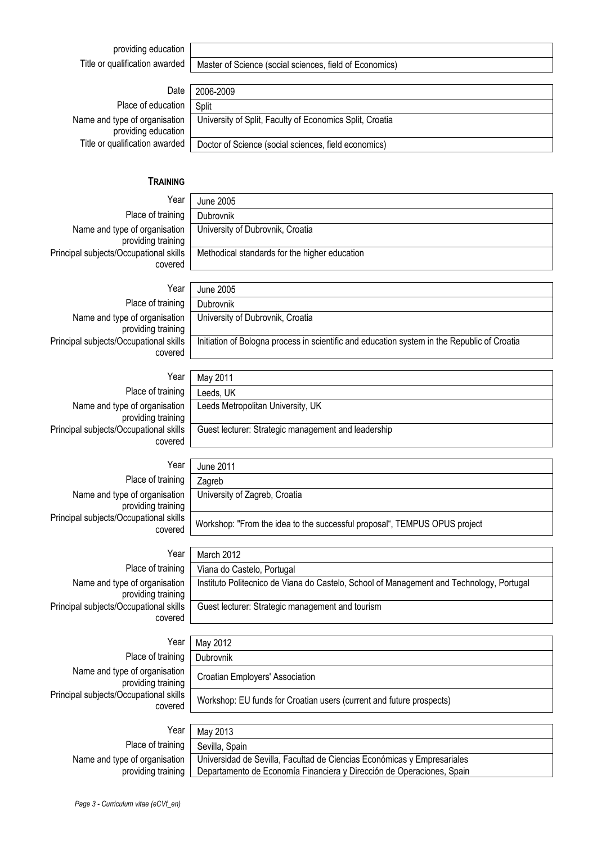providing education

Title or qualification awarded | Master of Science (social sciences, field of Economics)

University of Dubrovnik, Croatia

University of Dubrovnik, Croatia

Methodical standards for the higher education

|  | Date   2006-2009 |
|--|------------------|
|--|------------------|

Place of education Name and type of organisation providing education Title or qualification awarded

| 2006-2009                                                |
|----------------------------------------------------------|
| Split                                                    |
| University of Split, Faculty of Economics Split, Croatia |
| Doctor of Science (social sciences, field economics)     |
|                                                          |

#### **TRAINING**

Year June 2005 Place of training Dubrovnik Name and type of organisation providing training Principal subjects/Occupational skills covered

#### Year June 2005

Place of training **Dubrovnik** Name and type of organisation providing training Principal subjects/Occupational skills covered

Year Place of training Name and type of organisation providing training Principal subjects/Occupational skills

Leeds Metropolitan University, UK Guest lecturer: Strategic management and leadership

| Year                                              | <b>June 2011</b>                        |
|---------------------------------------------------|-----------------------------------------|
| Place of training                                 | Zagreb                                  |
| me and type of organisation<br>providing training | University of Zagreb, Croatia           |
| subjects/Occupational skills<br>covered           | Workshop: "From the idea to the success |

| Year                                                | March 2012                                                                               |
|-----------------------------------------------------|------------------------------------------------------------------------------------------|
| Place of training                                   | Viana do Castelo, Portugal                                                               |
| Name and type of organisation<br>providing training | Instituto Politecnico de Viana do Castelo, School of Management and Technology, Portugal |
| Principal subjects/Occupational skills<br>covered   | Guest lecturer: Strategic management and tourism                                         |
|                                                     |                                                                                          |

| Year                                                | May 2012                                                             |
|-----------------------------------------------------|----------------------------------------------------------------------|
| Place of training                                   | Dubrovnik                                                            |
| Name and type of organisation<br>providing training | <b>Croatian Employers' Association</b>                               |
| Principal subjects/Occupational skills<br>covered   | Workshop: EU funds for Croatian users (current and future prospects) |
|                                                     |                                                                      |
| Year                                                | May 2013                                                             |
| $D \sim \sim \frac{1}{2}$                           |                                                                      |

| ו יש י                             | ں رہے <b>VICI</b>                                                                                       |
|------------------------------------|---------------------------------------------------------------------------------------------------------|
| Place of training   Sevilla, Spain |                                                                                                         |
|                                    | Name and type of organisation   Universidad de Sevilla, Facultad de Ciencias Económicas y Empresariales |
|                                    | providing training   Departamento de Economía Financiera y Dirección de Operaciones, Spain              |

| Initiation of Bologna process in scientific and education system in the Republic of Croatia |
|---------------------------------------------------------------------------------------------|
|                                                                                             |
|                                                                                             |
| May 2011                                                                                    |
| Leeds, UK                                                                                   |
| Leeds Metropolitan University, UK                                                           |

| Year                  | June 2011                                                                 |
|-----------------------|---------------------------------------------------------------------------|
| training              | Zagreb                                                                    |
| ınisation<br>training | University of Zagreb, Croatia                                             |
| าal skills<br>covered | Workshop: "From the idea to the successful proposal", TEMPUS OPUS project |
|                       |                                                                           |

covered

Name and type of organisation Principal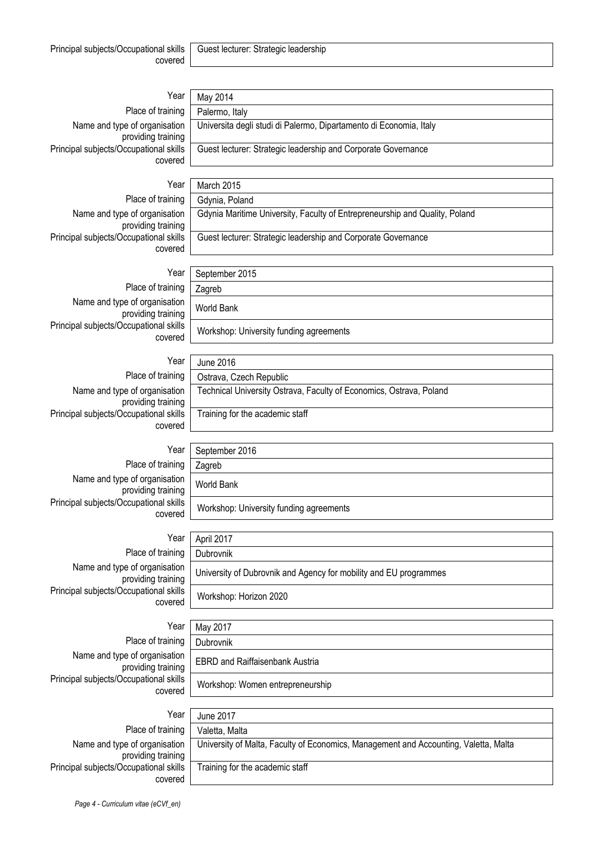| Year                                                | May 2014                                                                    |
|-----------------------------------------------------|-----------------------------------------------------------------------------|
| Place of training                                   | Palermo, Italy                                                              |
| Name and type of organisation<br>providing training | Universita degli studi di Palermo, Dipartamento di Economia, Italy          |
| Principal subjects/Occupational skills<br>covered   | Guest lecturer: Strategic leadership and Corporate Governance               |
|                                                     |                                                                             |
| Year                                                | March 2015                                                                  |
| Place of training                                   | Gdynia, Poland                                                              |
| Name and type of organisation<br>providing training | Gdynia Maritime University, Faculty of Entrepreneurship and Quality, Poland |
| Principal subjects/Occupational skills<br>covered   | Guest lecturer: Strategic leadership and Corporate Governance               |
| Year                                                |                                                                             |
| Place of training                                   | September 2015                                                              |
|                                                     | Zagreb                                                                      |
| Name and type of organisation<br>providing training | <b>World Bank</b>                                                           |
| Principal subjects/Occupational skills<br>covered   | Workshop: University funding agreements                                     |
| Year                                                | <b>June 2016</b>                                                            |
| Place of training                                   | Ostrava, Czech Republic                                                     |
| Name and type of organisation                       | Technical University Ostrava, Faculty of Economics, Ostrava, Poland         |
| providing training                                  |                                                                             |
| Principal subjects/Occupational skills<br>covered   | Training for the academic staff                                             |
|                                                     |                                                                             |
| Year                                                | September 2016                                                              |
| Place of training                                   | Zagreb                                                                      |
| Name and type of organisation<br>providing training | <b>World Bank</b>                                                           |
| Principal subjects/Occupational skills<br>covered   | Workshop: University funding agreements                                     |
| Year                                                | April 2017                                                                  |
| Place of training                                   | Dubrovnik                                                                   |
| Name and type of organisation<br>providing training | University of Dubrovnik and Agency for mobility and EU programmes           |
| Principal subjects/Occupational skills<br>covered   | Workshop: Horizon 2020                                                      |
|                                                     |                                                                             |
| Year                                                | May 2017                                                                    |
| Place of training                                   | Dubrovnik                                                                   |
| Name and type of organisation<br>providing training | <b>EBRD and Raiffaisenbank Austria</b>                                      |
| Principal subjects/Occupational skills<br>covered   | Workshop: Women entrepreneurship                                            |

Place of training Name and type of organisation providing training Principal subjects/Occupational skills covered

Year

| June 2017                                                                            |
|--------------------------------------------------------------------------------------|
| Valetta, Malta                                                                       |
| University of Malta, Faculty of Economics, Management and Accounting, Valetta, Malta |
| Training for the academic staff                                                      |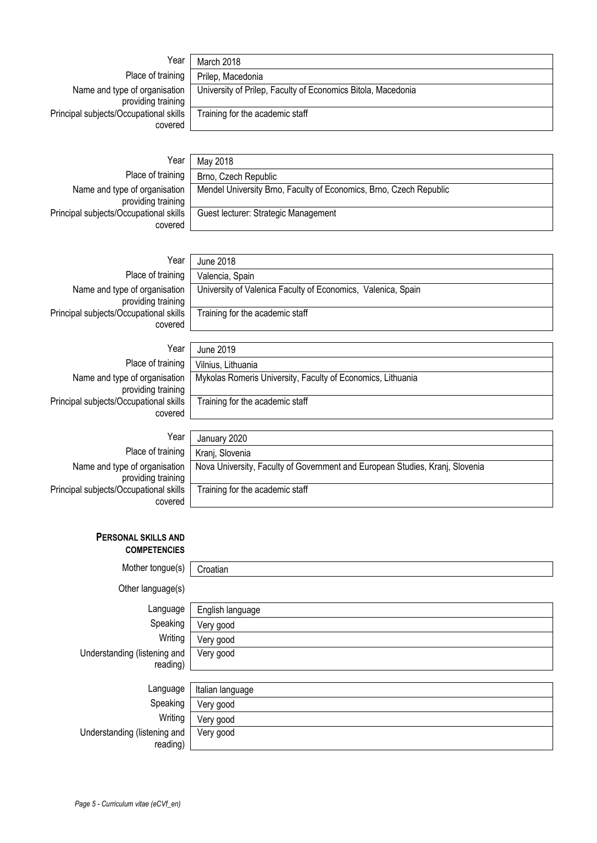| Year                                                | March 2018                                                   |
|-----------------------------------------------------|--------------------------------------------------------------|
| Place of training                                   | Prilep, Macedonia                                            |
| Name and type of organisation<br>providing training | University of Prilep, Faculty of Economics Bitola, Macedonia |
| Principal subjects/Occupational skills<br>covered   | Training for the academic staff                              |
|                                                     |                                                              |

Name and type of organisation providing training Principal subjects/Occupational skills covered

Year May 2018 Place of training Brno, Czech Republic Mendel University Brno, Faculty of Economics, Brno, Czech Republic Guest lecturer: Strategic Management

Name and type of organisation providing training Principal subjects/Occupational skills covered

Year June 2018 Place of training | Valencia, Spain University of Valenica Faculty of Economics, Valenica, Spain Training for the academic staff

Name and type of organisation providing training Principal subjects/Occupational skills covered

Year June 2019 Place of training Vilnius, Lithuania Mykolas Romeris University, Faculty of Economics, Lithuania Training for the academic staff

| Year                                                | January 2020                                                                 |
|-----------------------------------------------------|------------------------------------------------------------------------------|
| Place of training                                   | Kranj, Slovenia                                                              |
| Name and type of organisation<br>providing training | Nova University, Faculty of Government and European Studies, Kranj, Slovenia |
| Principal subjects/Occupational skills              | Training for the academic staff                                              |
| covered                                             |                                                                              |

### **PERSONAL SKILLS AND COMPETENCIES**

| Mother tongue(s)             | Croatian         |
|------------------------------|------------------|
| Other language(s)            |                  |
| Language                     | English language |
| Speaking                     | Very good        |
| Writing                      | Very good        |
| Understanding (listening and | Very good        |
| reading)                     |                  |
| Language                     | Italian language |
| Speaking                     | Very good        |
| Writing                      | Very good        |
| Understanding (listening and | Very good        |
| reading)                     |                  |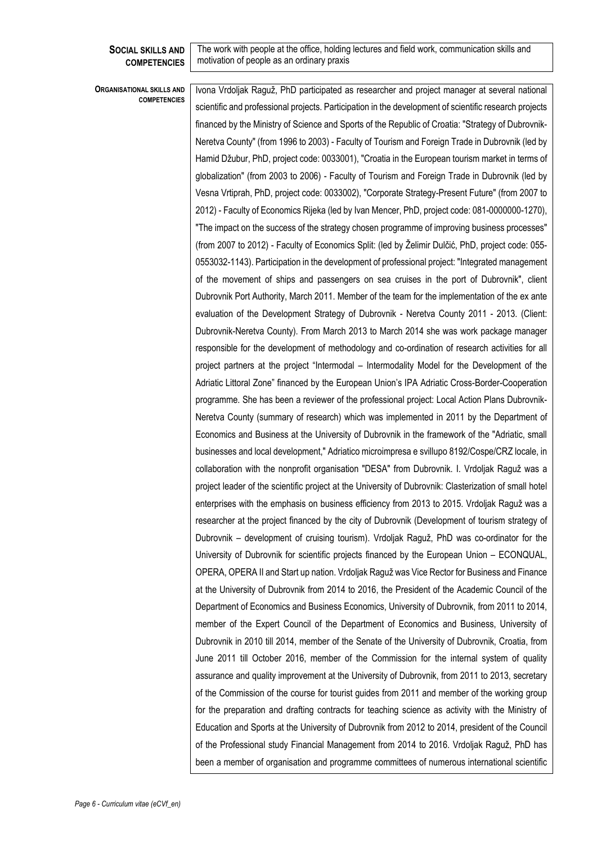#### **SOCIAL SKILLS AND COMPETENCIES**

The work with people at the office, holding lectures and field work, communication skills and motivation of people as an ordinary praxis

#### **ORGANISATIONAL SKILLS AND COMPETENCIES**

Ivona Vrdoljak Raguž, PhD participated as researcher and project manager at several national scientific and professional projects. Participation in the development of scientific research projects financed by the Ministry of Science and Sports of the Republic of Croatia: "Strategy of Dubrovnik-Neretva County" (from 1996 to 2003) - Faculty of Tourism and Foreign Trade in Dubrovnik (led by Hamid Džubur, PhD, project code: 0033001), "Croatia in the European tourism market in terms of globalization" (from 2003 to 2006) - Faculty of Tourism and Foreign Trade in Dubrovnik (led by Vesna Vrtiprah, PhD, project code: 0033002), "Corporate Strategy-Present Future" (from 2007 to 2012) - Faculty of Economics Rijeka (led by Ivan Mencer, PhD, project code: 081-0000000-1270), "The impact on the success of the strategy chosen programme of improving business processes" (from 2007 to 2012) - Faculty of Economics Split: (led by Želimir Dulčić, PhD, project code: 055- 0553032-1143). Participation in the development of professional project: "Integrated management of the movement of ships and passengers on sea cruises in the port of Dubrovnik", client Dubrovnik Port Authority, March 2011. Member of the team for the implementation of the ex ante evaluation of the Development Strategy of Dubrovnik - Neretva County 2011 - 2013. (Client: Dubrovnik-Neretva County). From March 2013 to March 2014 she was work package manager responsible for the development of methodology and co-ordination of research activities for all project partners at the project "Intermodal – Intermodality Model for the Development of the Adriatic Littoral Zone" financed by the European Union's IPA Adriatic Cross-Border-Cooperation programme. She has been a reviewer of the professional project: Local Action Plans Dubrovnik-Neretva County (summary of research) which was implemented in 2011 by the Department of Economics and Business at the University of Dubrovnik in the framework of the "Adriatic, small businesses and local development," Adriatico microimpresa e svillupo 8192/Cospe/CRZ locale, in collaboration with the nonprofit organisation "DESA" from Dubrovnik. I. Vrdoljak Raguž was a project leader of the scientific project at the University of Dubrovnik: Clasterization of small hotel enterprises with the emphasis on business efficiency from 2013 to 2015. Vrdoljak Raguž was a researcher at the project financed by the city of Dubrovnik (Development of tourism strategy of Dubrovnik – development of cruising tourism). Vrdoljak Raguž, PhD was co-ordinator for the University of Dubrovnik for scientific projects financed by the European Union – ECONQUAL, OPERA, OPERA II and Start up nation. Vrdoljak Raguž was Vice Rector for Business and Finance at the University of Dubrovnik from 2014 to 2016, the President of the Academic Council of the Department of Economics and Business Economics, University of Dubrovnik, from 2011 to 2014, member of the Expert Council of the Department of Economics and Business, University of Dubrovnik in 2010 till 2014, member of the Senate of the University of Dubrovnik, Croatia, from June 2011 till October 2016, member of the Commission for the internal system of quality assurance and quality improvement at the University of Dubrovnik, from 2011 to 2013, secretary of the Commission of the course for tourist guides from 2011 and member of the working group for the preparation and drafting contracts for teaching science as activity with the Ministry of Education and Sports at the University of Dubrovnik from 2012 to 2014, president of the Council of the Professional study Financial Management from 2014 to 2016. Vrdoljak Raguž, PhD has been a member of organisation and programme committees of numerous international scientific